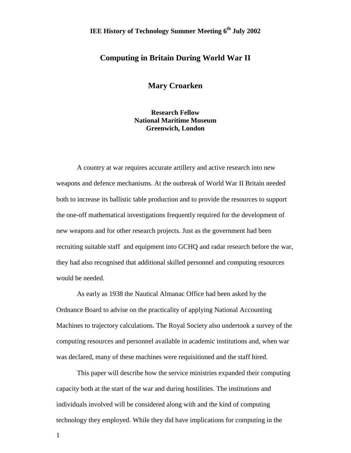# **IEE History of Technology Summer Meeting 6<sup>th</sup> July 2002**

## **Computing in Britain During World War II**

**Mary Croarken**

**Research Fellow National Maritime Museum Greenwich, London**

A country at war requires accurate artillery and active research into new weapons and defence mechanisms. At the outbreak of World War II Britain needed both to increase its ballistic table production and to provide the resources to support the one-off mathematical investigations frequently required for the development of new weapons and for other research projects. Just as the government had been recruiting suitable staff and equipment into GCHQ and radar research before the war, they had also recognised that additional skilled personnel and computing resources would be needed.

As early as 1938 the Nautical Almanac Office had been asked by the Ordnance Board to advise on the practicality of applying National Accounting Machines to trajectory calculations. The Royal Society also undertook a survey of the computing resources and personnel available in academic institutions and, when war was declared, many of these machines were requisitioned and the staff hired.

This paper will describe how the service ministries expanded their computing capacity both at the start of the war and during hostilities. The institutions and individuals involved will be considered along with and the kind of computing technology they employed. While they did have implications for computing in the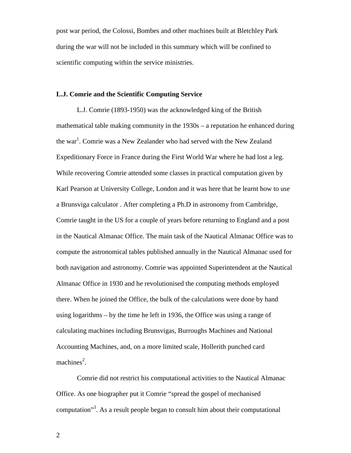post war period, the Colossi, Bombes and other machines built at Bletchley Park during the war will not be included in this summary which will be confined to scientific computing within the service ministries.

## **L.J. Comrie and the Scientific Computing Service**

L.J. Comrie (1893-1950) was the acknowledged king of the British mathematical table making community in the 1930s – a reputation he enhanced during the war<sup>1</sup>. Comrie was a New Zealander who had served with the New Zealand Expeditionary Force in France during the First World War where he had lost a leg. While recovering Comrie attended some classes in practical computation given by Karl Pearson at University College, London and it was here that he learnt how to use a Brunsviga calculator . After completing a Ph.D in astronomy from Cambridge, Comrie taught in the US for a couple of years before returning to England and a post in the Nautical Almanac Office. The main task of the Nautical Almanac Office was to compute the astronomical tables published annually in the Nautical Almanac used for both navigation and astronomy. Comrie was appointed Superintendent at the Nautical Almanac Office in 1930 and he revolutionised the computing methods employed there. When he joined the Office, the bulk of the calculations were done by hand using logarithms – by the time he left in 1936, the Office was using a range of calculating machines including Brunsvigas, Burroughs Machines and National Accounting Machines, and, on a more limited scale, Hollerith punched card machines<sup>2</sup>.

Comrie did not restrict his computational activities to the Nautical Almanac Office. As one biographer put it Comrie "spread the gospel of mechanised computation"3 . As a result people began to consult him about their computational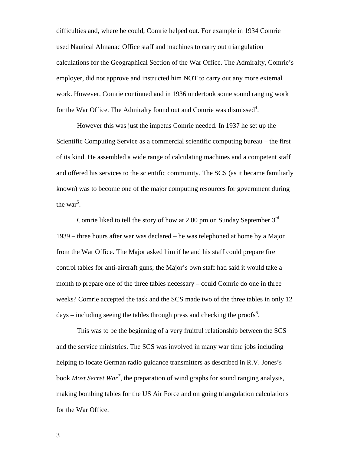difficulties and, where he could, Comrie helped out. For example in 1934 Comrie used Nautical Almanac Office staff and machines to carry out triangulation calculations for the Geographical Section of the War Office. The Admiralty, Comrie's employer, did not approve and instructed him NOT to carry out any more external work. However, Comrie continued and in 1936 undertook some sound ranging work for the War Office. The Admiralty found out and Comrie was dismissed $4$ .

However this was just the impetus Comrie needed. In 1937 he set up the Scientific Computing Service as a commercial scientific computing bureau – the first of its kind. He assembled a wide range of calculating machines and a competent staff and offered his services to the scientific community. The SCS (as it became familiarly known) was to become one of the major computing resources for government during the war<sup>5</sup>.

Comrie liked to tell the story of how at 2.00 pm on Sunday September 3rd 1939 – three hours after war was declared – he was telephoned at home by a Major from the War Office. The Major asked him if he and his staff could prepare fire control tables for anti-aircraft guns; the Major's own staff had said it would take a month to prepare one of the three tables necessary – could Comrie do one in three weeks? Comrie accepted the task and the SCS made two of the three tables in only 12 days – including seeing the tables through press and checking the proofs<sup>6</sup>.

This was to be the beginning of a very fruitful relationship between the SCS and the service ministries. The SCS was involved in many war time jobs including helping to locate German radio guidance transmitters as described in R.V. Jones's book *Most Secret War<sup>7</sup>* , the preparation of wind graphs for sound ranging analysis, making bombing tables for the US Air Force and on going triangulation calculations for the War Office.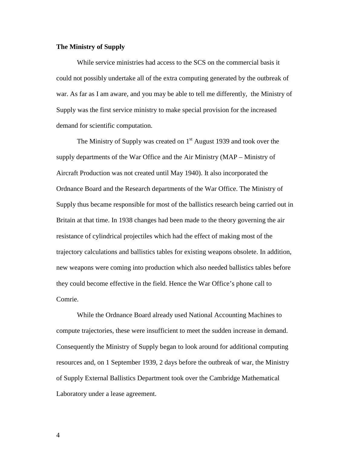#### **The Ministry of Supply**

While service ministries had access to the SCS on the commercial basis it could not possibly undertake all of the extra computing generated by the outbreak of war. As far as I am aware, and you may be able to tell me differently, the Ministry of Supply was the first service ministry to make special provision for the increased demand for scientific computation.

The Ministry of Supply was created on  $1<sup>st</sup>$  August 1939 and took over the supply departments of the War Office and the Air Ministry (MAP – Ministry of Aircraft Production was not created until May 1940). It also incorporated the Ordnance Board and the Research departments of the War Office. The Ministry of Supply thus became responsible for most of the ballistics research being carried out in Britain at that time. In 1938 changes had been made to the theory governing the air resistance of cylindrical projectiles which had the effect of making most of the trajectory calculations and ballistics tables for existing weapons obsolete. In addition, new weapons were coming into production which also needed ballistics tables before they could become effective in the field. Hence the War Office's phone call to Comrie.

While the Ordnance Board already used National Accounting Machines to compute trajectories, these were insufficient to meet the sudden increase in demand. Consequently the Ministry of Supply began to look around for additional computing resources and, on 1 September 1939, 2 days before the outbreak of war, the Ministry of Supply External Ballistics Department took over the Cambridge Mathematical Laboratory under a lease agreement.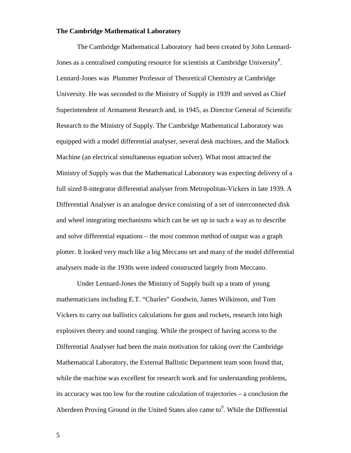#### **The Cambridge Mathematical Laboratory**

The Cambridge Mathematical Laboratory had been created by John Lennard-Jones as a centralised computing resource for scientists at Cambridge University $8$ . Lennard-Jones was Plummer Professor of Theoretical Chemistry at Cambridge University. He was seconded to the Ministry of Supply in 1939 and served as Chief Superintendent of Armament Research and, in 1945, as Director General of Scientific Research to the Ministry of Supply. The Cambridge Mathematical Laboratory was equipped with a model differential analyser, several desk machines, and the Mallock Machine (an electrical simultaneous equation solver). What most attracted the Ministry of Supply was that the Mathematical Laboratory was expecting delivery of a full sized 8-integrator differential analyser from Metropolitan-Vickers in late 1939. A Differential Analyser is an analogue device consisting of a set of interconnected disk and wheel integrating mechanisms which can be set up in such a way as to describe and solve differential equations – the most common method of output was a graph plotter. It looked very much like a big Meccano set and many of the model differential analysers made in the 1930s were indeed constructed largely from Meccano.

Under Lennard-Jones the Ministry of Supply built up a team of young mathematicians including E.T. "Charles" Goodwin, James Wilkinson, and Tom Vickers to carry out ballistics calculations for guns and rockets, research into high explosives theory and sound ranging. While the prospect of having access to the Differential Analyser had been the main motivation for taking over the Cambridge Mathematical Laboratory, the External Ballistic Department team soon found that, while the machine was excellent for research work and for understanding problems, its accuracy was too low for the routine calculation of trajectories – a conclusion the Aberdeen Proving Ground in the United States also came to $9$ . While the Differential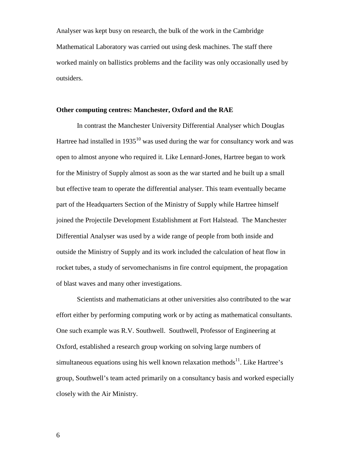Analyser was kept busy on research, the bulk of the work in the Cambridge Mathematical Laboratory was carried out using desk machines. The staff there worked mainly on ballistics problems and the facility was only occasionally used by outsiders.

#### **Other computing centres: Manchester, Oxford and the RAE**

In contrast the Manchester University Differential Analyser which Douglas Hartree had installed in  $1935^{10}$  was used during the war for consultancy work and was open to almost anyone who required it. Like Lennard-Jones, Hartree began to work for the Ministry of Supply almost as soon as the war started and he built up a small but effective team to operate the differential analyser. This team eventually became part of the Headquarters Section of the Ministry of Supply while Hartree himself joined the Projectile Development Establishment at Fort Halstead. The Manchester Differential Analyser was used by a wide range of people from both inside and outside the Ministry of Supply and its work included the calculation of heat flow in rocket tubes, a study of servomechanisms in fire control equipment, the propagation of blast waves and many other investigations.

Scientists and mathematicians at other universities also contributed to the war effort either by performing computing work or by acting as mathematical consultants. One such example was R.V. Southwell. Southwell, Professor of Engineering at Oxford, established a research group working on solving large numbers of simultaneous equations using his well known relaxation methods $11$ . Like Hartree's group, Southwell's team acted primarily on a consultancy basis and worked especially closely with the Air Ministry.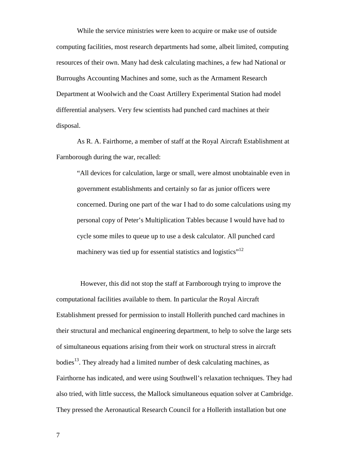While the service ministries were keen to acquire or make use of outside computing facilities, most research departments had some, albeit limited, computing resources of their own. Many had desk calculating machines, a few had National or Burroughs Accounting Machines and some, such as the Armament Research Department at Woolwich and the Coast Artillery Experimental Station had model differential analysers. Very few scientists had punched card machines at their disposal.

As R. A. Fairthorne, a member of staff at the Royal Aircraft Establishment at Farnborough during the war, recalled:

"All devices for calculation, large or small, were almost unobtainable even in government establishments and certainly so far as junior officers were concerned. During one part of the war I had to do some calculations using my personal copy of Peter's Multiplication Tables because I would have had to cycle some miles to queue up to use a desk calculator. All punched card machinery was tied up for essential statistics and logistics"<sup>12</sup>

 However, this did not stop the staff at Farnborough trying to improve the computational facilities available to them. In particular the Royal Aircraft Establishment pressed for permission to install Hollerith punched card machines in their structural and mechanical engineering department, to help to solve the large sets of simultaneous equations arising from their work on structural stress in aircraft bodies<sup>13</sup>. They already had a limited number of desk calculating machines, as Fairthorne has indicated, and were using Southwell's relaxation techniques. They had also tried, with little success, the Mallock simultaneous equation solver at Cambridge. They pressed the Aeronautical Research Council for a Hollerith installation but one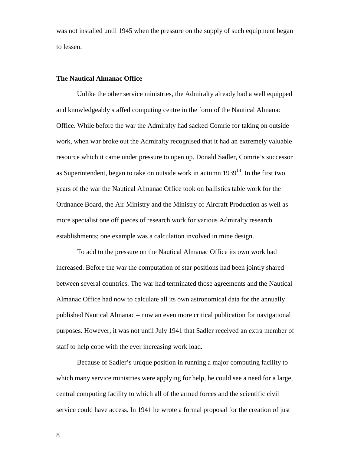was not installed until 1945 when the pressure on the supply of such equipment began to lessen.

#### **The Nautical Almanac Office**

Unlike the other service ministries, the Admiralty already had a well equipped and knowledgeably staffed computing centre in the form of the Nautical Almanac Office. While before the war the Admiralty had sacked Comrie for taking on outside work, when war broke out the Admiralty recognised that it had an extremely valuable resource which it came under pressure to open up. Donald Sadler, Comrie's successor as Superintendent, began to take on outside work in autumn  $1939<sup>14</sup>$ . In the first two years of the war the Nautical Almanac Office took on ballistics table work for the Ordnance Board, the Air Ministry and the Ministry of Aircraft Production as well as more specialist one off pieces of research work for various Admiralty research establishments; one example was a calculation involved in mine design.

To add to the pressure on the Nautical Almanac Office its own work had increased. Before the war the computation of star positions had been jointly shared between several countries. The war had terminated those agreements and the Nautical Almanac Office had now to calculate all its own astronomical data for the annually published Nautical Almanac – now an even more critical publication for navigational purposes. However, it was not until July 1941 that Sadler received an extra member of staff to help cope with the ever increasing work load.

Because of Sadler's unique position in running a major computing facility to which many service ministries were applying for help, he could see a need for a large, central computing facility to which all of the armed forces and the scientific civil service could have access. In 1941 he wrote a formal proposal for the creation of just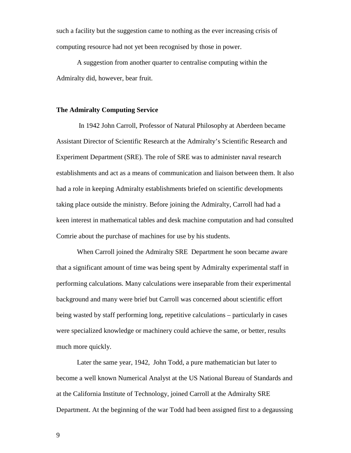such a facility but the suggestion came to nothing as the ever increasing crisis of computing resource had not yet been recognised by those in power.

A suggestion from another quarter to centralise computing within the Admiralty did, however, bear fruit.

#### **The Admiralty Computing Service**

 In 1942 John Carroll, Professor of Natural Philosophy at Aberdeen became Assistant Director of Scientific Research at the Admiralty's Scientific Research and Experiment Department (SRE). The role of SRE was to administer naval research establishments and act as a means of communication and liaison between them. It also had a role in keeping Admiralty establishments briefed on scientific developments taking place outside the ministry. Before joining the Admiralty, Carroll had had a keen interest in mathematical tables and desk machine computation and had consulted Comrie about the purchase of machines for use by his students.

When Carroll joined the Admiralty SRE Department he soon became aware that a significant amount of time was being spent by Admiralty experimental staff in performing calculations. Many calculations were inseparable from their experimental background and many were brief but Carroll was concerned about scientific effort being wasted by staff performing long, repetitive calculations – particularly in cases were specialized knowledge or machinery could achieve the same, or better, results much more quickly.

Later the same year, 1942, John Todd, a pure mathematician but later to become a well known Numerical Analyst at the US National Bureau of Standards and at the California Institute of Technology, joined Carroll at the Admiralty SRE Department. At the beginning of the war Todd had been assigned first to a degaussing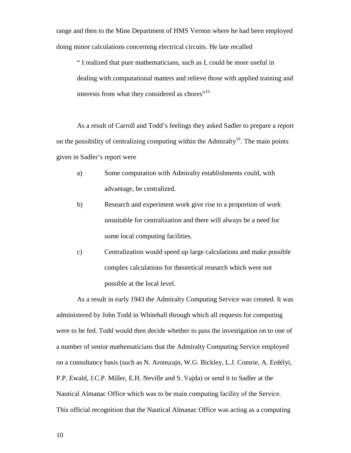range and then to the Mine Department of HMS Vernon where he had been employed doing minor calculations concerning electrical circuits. He late recalled

" I realized that pure mathematicians, such as I, could be more useful in dealing with computational matters and relieve those with applied training and interests from what they considered as chores"<sup>15</sup>

As a result of Carroll and Todd's feelings they asked Sadler to prepare a report on the possibility of centralizing computing within the Admiralty<sup>16</sup>. The main points given in Sadler's report were

- a) Some computation with Admiralty establishments could, with advantage, be centralized.
- b) Research and experiment work give rise to a proportion of work unsuitable for centralization and there will always be a need for some local computing facilities.
- c) Centralization would speed up large calculations and make possible complex calculations for theoretical research which were not possible at the local level.

As a result in early 1943 the Admiralty Computing Service was created. It was administered by John Todd in Whitehall through which all requests for computing were to be fed. Todd would then decide whether to pass the investigation on to one of a number of senior mathematicians that the Admiralty Computing Service employed on a consultancy basis (such as N. Aronszajn, W.G. Bickley, L.J. Comrie, A. Erdélyi, P.P. Ewald, J.C.P. Miller, E.H. Neville and S. Vajda) or send it to Sadler at the Nautical Almanac Office which was to be main computing facility of the Service. This official recognition that the Nautical Almanac Office was acting as a computing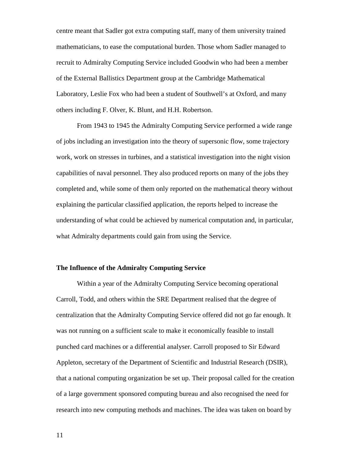centre meant that Sadler got extra computing staff, many of them university trained mathematicians, to ease the computational burden. Those whom Sadler managed to recruit to Admiralty Computing Service included Goodwin who had been a member of the External Ballistics Department group at the Cambridge Mathematical Laboratory, Leslie Fox who had been a student of Southwell's at Oxford, and many others including F. Olver, K. Blunt, and H.H. Robertson.

From 1943 to 1945 the Admiralty Computing Service performed a wide range of jobs including an investigation into the theory of supersonic flow, some trajectory work, work on stresses in turbines, and a statistical investigation into the night vision capabilities of naval personnel. They also produced reports on many of the jobs they completed and, while some of them only reported on the mathematical theory without explaining the particular classified application, the reports helped to increase the understanding of what could be achieved by numerical computation and, in particular, what Admiralty departments could gain from using the Service.

### **The Influence of the Admiralty Computing Service**

Within a year of the Admiralty Computing Service becoming operational Carroll, Todd, and others within the SRE Department realised that the degree of centralization that the Admiralty Computing Service offered did not go far enough. It was not running on a sufficient scale to make it economically feasible to install punched card machines or a differential analyser. Carroll proposed to Sir Edward Appleton, secretary of the Department of Scientific and Industrial Research (DSIR), that a national computing organization be set up. Their proposal called for the creation of a large government sponsored computing bureau and also recognised the need for research into new computing methods and machines. The idea was taken on board by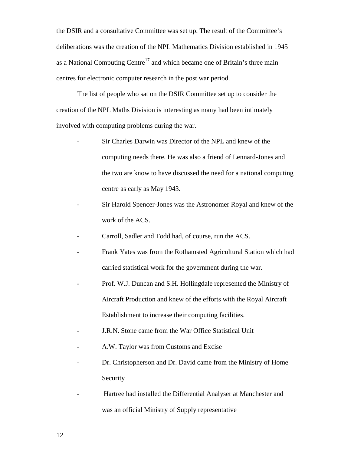the DSIR and a consultative Committee was set up. The result of the Committee's deliberations was the creation of the NPL Mathematics Division established in 1945 as a National Computing Centre<sup>17</sup> and which became one of Britain's three main centres for electronic computer research in the post war period.

The list of people who sat on the DSIR Committee set up to consider the creation of the NPL Maths Division is interesting as many had been intimately involved with computing problems during the war.

- Sir Charles Darwin was Director of the NPL and knew of the computing needs there. He was also a friend of Lennard-Jones and the two are know to have discussed the need for a national computing centre as early as May 1943.
- Sir Harold Spencer-Jones was the Astronomer Royal and knew of the work of the ACS.
- Carroll, Sadler and Todd had, of course, run the ACS.
- Frank Yates was from the Rothamsted Agricultural Station which had carried statistical work for the government during the war.
- Prof. W.J. Duncan and S.H. Hollingdale represented the Ministry of Aircraft Production and knew of the efforts with the Royal Aircraft Establishment to increase their computing facilities.
- J.R.N. Stone came from the War Office Statistical Unit
- A.W. Taylor was from Customs and Excise
- Dr. Christopherson and Dr. David came from the Ministry of Home Security
- Hartree had installed the Differential Analyser at Manchester and was an official Ministry of Supply representative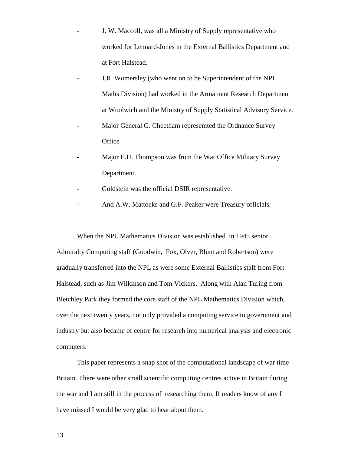- J. W. Maccoll, was all a Ministry of Supply representative who worked for Lennard-Jones in the External Ballistics Department and at Fort Halstead.
- J.R. Womersley (who went on to be Superintendent of the NPL Maths Division) had worked in the Armament Research Department at Woolwich and the Ministry of Supply Statistical Advisory Service.
- Major General G. Cheetham represemted the Ordnance Survey **Office**
- Major E.H. Thompson was from the War Office Military Survey Department.
- Goldstein was the official DSIR representative.
- And A.W. Mattocks and G.F. Peaker were Treasury officials.

When the NPL Mathematics Division was established in 1945 senior Admiralty Computing staff (Goodwin, Fox, Olver, Blunt and Robertson) were gradually transferred into the NPL as were some External Ballistics staff from Fort Halstead, such as Jim Wilkinson and Tom Vickers. Along with Alan Turing from Bletchley Park they formed the core staff of the NPL Mathematics Division which, over the next twenty years, not only provided a computing service to government and industry but also became of centre for research into numerical analysis and electronic computers.

This paper represents a snap shot of the computational landscape of war time Britain. There were other small scientific computing centres active in Britain during the war and I am still in the process of researching them. If readers know of any I have missed I would be very glad to hear about them.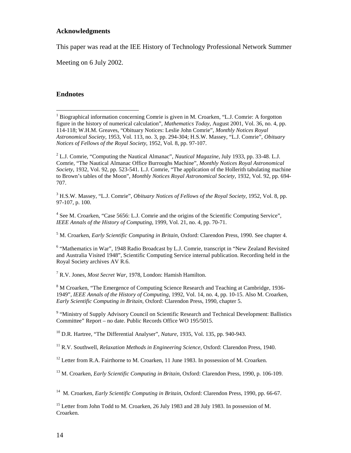#### **Acknowledgments**

This paper was read at the IEE History of Technology Professional Network Summer

Meeting on 6 July 2002.

## **Endnotes**

 $\overline{a}$ 

2 L.J. Comrie, "Computing the Nautical Almanac", *Nautical Magazine*, July 1933, pp. 33-48. L.J. Comrie, "The Nautical Almanac Office Burroughs Machine", *Monthly Notices Royal Astronomical Society*, 1932, Vol. 92, pp. 523-541. L.J. Comrie, "The application of the Hollerith tabulating machine to Brown's tables of the Moon", *Monthly Notices Royal Astronomical Society*, 1932, Vol. 92, pp. 694- 707.

3 H.S.W. Massey, "L.J. Comrie", *Obituary Notices of Fellows of the Royal Society*, 1952, Vol. 8, pp. 97-107, p. 100.

<sup>4</sup> See M. Croarken, "Case 5656: L.J. Comrie and the origins of the Scientific Computing Service", *IEEE Annals of the History of Computing*, 1999, Vol. 21, no. 4, pp. 70-71.

5 M. Croarken, *Early Scientific Computing in Britain*, Oxford: Clarendon Press, 1990. See chapter 4.

<sup>6</sup> "Mathematics in War", 1948 Radio Broadcast by L.J. Comrie, transcript in "New Zealand Revisited and Australia Visited 1948", Scientific Computing Service internal publication. Recording held in the Royal Society archives AV R.6.

7 R.V. Jones, *Most Secret War*, 1978, London: Hamish Hamilton.

<sup>8</sup> M Croarken, "The Emergence of Computing Science Research and Teaching at Cambridge, 1936-1949", *IEEE Annals of the History of Computing*, 1992, Vol. 14, no. 4, pp. 10-15. Also M. Croarken, *Early Scientific Computing in Britain*, Oxford: Clarendon Press, 1990, chapter 5.

<sup>9</sup> "Ministry of Supply Advisory Council on Scientific Research and Technical Development: Ballistics Committee" Report – no date. Public Records Office WO 195/5015.

10 D.R. Hartree, "The Differential Analyser", *Nature*, 1935, Vol. 135, pp. 940-943.

11 R.V. Southwell, *Relaxation Methods in Engineering Science*, Oxford: Clarendon Press, 1940.

 $12$  Letter from R.A. Fairthorne to M. Croarken, 11 June 1983. In possession of M. Croarken.

13 M. Croarken, *Early Scientific Computing in Britain*, Oxford: Clarendon Press, 1990, p. 106-109.

14 M. Croarken, *Early Scientific Computing in Britain*, Oxford: Clarendon Press, 1990, pp. 66-67.

<sup>15</sup> Letter from John Todd to M. Croarken, 26 July 1983 and 28 July 1983. In possession of M. Croarken.

<sup>&</sup>lt;sup>1</sup> Biographical information concerning Comrie is given in M. Croarken, "L.J. Comrie: A forgotton figure in the history of numerical calculation", *Mathematics Today*, August 2001, Vol. 36, no. 4, pp. 114-118; W.H.M. Greaves, "Obituary Notices: Leslie John Comrie", *Monthly Notices Royal Astronomical Society*, 1953, Vol. 113, no. 3, pp. 294-304; H.S.W. Massey, "L.J. Comrie", *Obituary Notices of Fellows of the Royal Society*, 1952, Vol. 8, pp. 97-107.